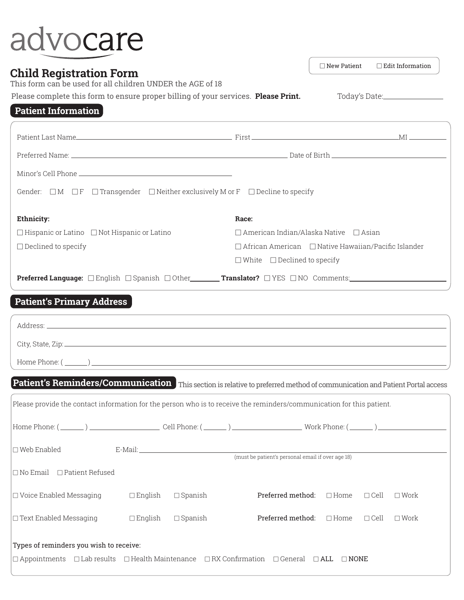## advocare

## **Child Registration Form**

 $\Box$  New Patient  $\Box$  Edit Information

This form can be used for all children UNDER the AGE of 18

Please complete this form to ensure proper billing of your services. **Please Print.** Today's Date:

## **Patient Information**

| Gender: $\Box M$ $\Box F$ $\Box$ Transgender $\Box$ Neither exclusively M or $F$ $\Box$ Decline to specify                       |                                                                 |  |
|----------------------------------------------------------------------------------------------------------------------------------|-----------------------------------------------------------------|--|
| <b>Ethnicity:</b>                                                                                                                | Race:                                                           |  |
| $\Box$ Hispanic or Latino $\Box$ Not Hispanic or Latino                                                                          | $\Box$ American Indian/Alaska Native $\Box$ Asian               |  |
| $\Box$ Declined to specify                                                                                                       | $\Box$ African American $\Box$ Native Hawaiian/Pacific Islander |  |
|                                                                                                                                  | $\Box$ White $\Box$ Declined to specify                         |  |
| <b>Preferred Language:</b> □English □Spanish □Other________ <b>Translator?</b> □YES □NO Comments:_______________________________ |                                                                 |  |
| <b>Patient's Primary Address</b>                                                                                                 |                                                                 |  |
| sandress.                                                                                                                        |                                                                 |  |

| Patient's Reminders/Communication This section is relative to preferred method of communication and Patient Portal access                                                |                   |                |                                                              |  |                |
|--------------------------------------------------------------------------------------------------------------------------------------------------------------------------|-------------------|----------------|--------------------------------------------------------------|--|----------------|
| Please provide the contact information for the person who is to receive the reminders/communication for this patient.                                                    |                   |                |                                                              |  |                |
|                                                                                                                                                                          |                   |                |                                                              |  |                |
| $\square$ Web Enabled                                                                                                                                                    |                   |                |                                                              |  |                |
| $\Box$ No Email $\Box$ Patient Refused                                                                                                                                   |                   |                |                                                              |  |                |
| $\Box$ Voice Enabled Messaging $\Box$ English                                                                                                                            |                   | $\Box$ Spanish | <b>Preferred method:</b> $\Box$ Home $\Box$ Cell             |  | $\square$ Work |
| $\Box$ Text Enabled Messaging                                                                                                                                            | $\square$ English | $\Box$ Spanish | <b>Preferred method:</b> $\Box$ Home $\Box$ Cell $\Box$ Work |  |                |
| Types of reminders you wish to receive:<br>$\Box$ Appointments $\Box$ Lab results $\Box$ Health Maintenance $\Box$ RX Confirmation $\Box$ General $\Box$ ALL $\Box$ NONE |                   |                |                                                              |  |                |
|                                                                                                                                                                          |                   |                |                                                              |  |                |